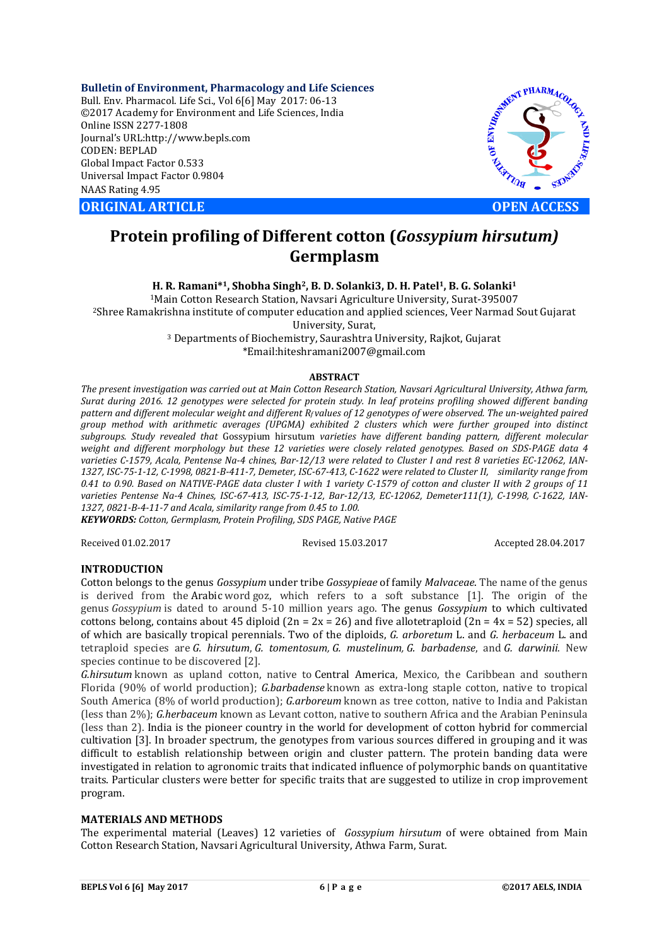**Bulletin of Environment, Pharmacology and Life Sciences** Bull. Env. Pharmacol. Life Sci., Vol 6[6] May 2017: 06-13 ©2017 Academy for Environment and Life Sciences, India Online ISSN 2277-1808 Journal's URL:http://www.bepls.com CODEN: BEPLAD Global Impact Factor 0.533 Universal Impact Factor 0.9804 NAAS Rating 4.95

**ORIGINAL ARTICLE OPEN ACCESS** 



# **Protein profiling of Different cotton (***Gossypium hirsutum)* **Germplasm**

**H. R. Ramani\*1, Shobha Singh2, B. D. Solanki3, D. H. Patel1, B. G. Solanki1**

1Main Cotton Research Station, Navsari Agriculture University, Surat-395007

2Shree Ramakrishna institute of computer education and applied sciences, Veer Narmad Sout Gujarat University, Surat,<br><sup>3</sup> Departments of Biochemistry, Saurashtra University, Rajkot, Gujarat

\*Email:hiteshramani2007@gmail.com

#### **ABSTRACT**

*The present investigation was carried out at Main Cotton Research Station, Navsari Agricultural University, Athwa farm, Surat during 2016. 12 genotypes were selected for protein study. In leaf proteins profiling showed different banding*  pattern and different molecular weight and different R<sub>f</sub> values of 12 genotypes of were observed. The un-weighted paired *group method with arithmetic averages (UPGMA) exhibited 2 clusters which were further grouped into distinct subgroups. Study revealed that* Gossypium hirsutum *varieties have different banding pattern, different molecular weight and different morphology but these 12 varieties were closely related genotypes. Based on SDS-PAGE data 4 varieties C-1579, Acala, Pentense Na-4 chines, Bar-12/13 were related to Cluster I and rest 8 varieties EC-12062, IAN-1327, ISC-75-1-12, C-1998, 0821-B-411-7, Demeter, ISC-67-413, C-1622 were related to Cluster II, similarity range from 0.41 to 0.90. Based on NATIVE-PAGE data cluster I with 1 variety C-1579 of cotton and cluster II with 2 groups of 11 varieties Pentense Na-4 Chines, ISC-67-413, ISC-75-1-12, Bar-12/13, EC-12062, Demeter111(1), C-1998, C-1622, IAN-1327, 0821-B-4-11-7 and Acala, similarity range from 0.45 to 1.00.*

*KEYWORDS: Cotton, Germplasm, Protein Profiling, SDS PAGE, Native PAGE*

Received 01.02.2017 Revised 15.03.2017 Accepted 28.04.2017

## **INTRODUCTION**

Cotton belongs to the genus *Gossypium* under tribe *Gossypieae* of family *Malvaceae*. The name of the genus is derived from the Arabic word goz, which refers to a soft substance [1]. The origin of the genus *Gossypium* is dated to around 5-10 million years ago. The genus *Gossypium* to which cultivated cottons belong, contains about 45 diploid  $(2n = 2x = 26)$  and five allotetraploid  $(2n = 4x = 52)$  species, all of which are basically tropical perennials. Two of the diploids, *G. arboretum* L. and *G. herbaceum* L. and tetraploid species are *G. hirsutum*, *G. tomentosum, G. mustelinum, G. barbadense*, and *G. darwinii*. New species continue to be discovered [2].

*G.hirsutum* known as upland cotton, native to Central America, Mexico, the Caribbean and southern Florida (90% of world production); *G.barbadense* known as extra-long staple cotton, native to tropical South America (8% of world production); *G.arboreum* known as tree cotton, native to India and Pakistan (less than 2%); *G.herbaceum* known as Levant cotton, native to southern Africa and the Arabian Peninsula (less than 2). India is the pioneer country in the world for development of cotton hybrid for commercial cultivation [3]. In broader spectrum, the genotypes from various sources differed in grouping and it was difficult to establish relationship between origin and cluster pattern. The protein banding data were investigated in relation to agronomic traits that indicated influence of polymorphic bands on quantitative traits. Particular clusters were better for specific traits that are suggested to utilize in crop improvement program.

#### **MATERIALS AND METHODS**

The experimental material (Leaves) 12 varieties of *Gossypium hirsutum* of were obtained from Main Cotton Research Station, Navsari Agricultural University, Athwa Farm, Surat.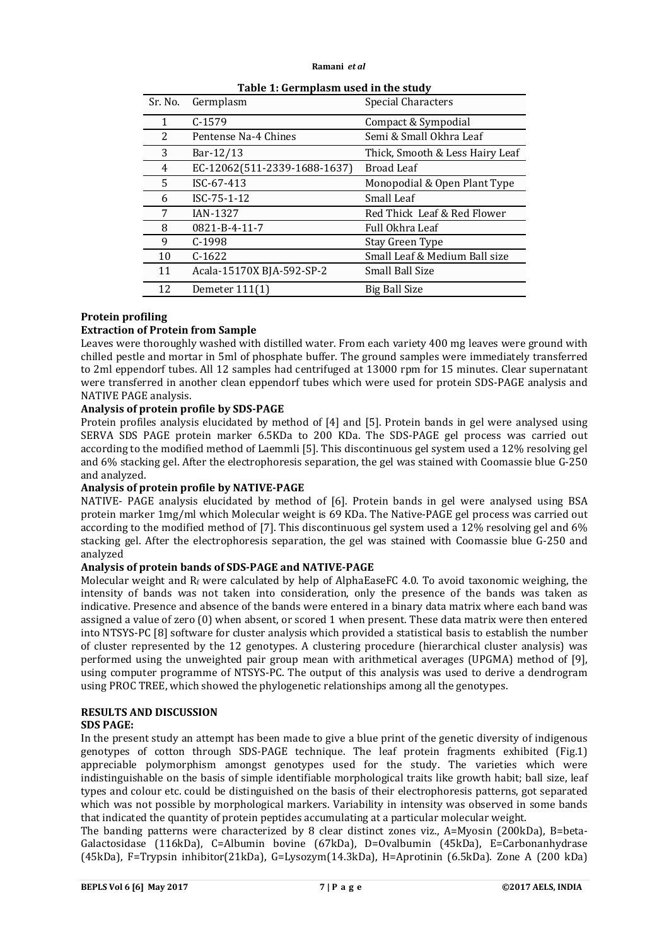| Sr. No. | Germplasm                    | <b>Special Characters</b>       |
|---------|------------------------------|---------------------------------|
| 1       | $C-1579$                     | Compact & Sympodial             |
| 2       | Pentense Na-4 Chines         | Semi & Small Okhra Leaf         |
| 3       | Bar-12/13                    | Thick, Smooth & Less Hairy Leaf |
| 4       | EC-12062(511-2339-1688-1637) | <b>Broad Leaf</b>               |
| 5       | ISC-67-413                   | Monopodial & Open Plant Type    |
| 6       | ISC-75-1-12                  | Small Leaf                      |
| 7       | <b>IAN-1327</b>              | Red Thick Leaf & Red Flower     |
| 8       | 0821-B-4-11-7                | Full Okhra Leaf                 |
| 9       | $C-1998$                     | Stay Green Type                 |
| 10      | $C-1622$                     | Small Leaf & Medium Ball size   |
| 11      | Acala-15170X BJA-592-SP-2    | <b>Small Ball Size</b>          |
| 12      | Demeter $111(1)$             | Big Ball Size                   |

**Table 1: Germplasm used in the study**

# **Protein profiling**

# **Extraction of Protein from Sample**

Leaves were thoroughly washed with distilled water. From each variety 400 mg leaves were ground with chilled pestle and mortar in 5ml of phosphate buffer. The ground samples were immediately transferred to 2ml eppendorf tubes. All 12 samples had centrifuged at 13000 rpm for 15 minutes. Clear supernatant were transferred in another clean eppendorf tubes which were used for protein SDS-PAGE analysis and NATIVE PAGE analysis.

## **Analysis of protein profile by SDS-PAGE**

Protein profiles analysis elucidated by method of [4] and [5]. Protein bands in gel were analysed using SERVA SDS PAGE protein marker 6.5KDa to 200 KDa. The SDS-PAGE gel process was carried out according to the modified method of Laemmli [5]. This discontinuous gel system used a 12% resolving gel and 6% stacking gel. After the electrophoresis separation, the gel was stained with Coomassie blue G-250 and analyzed.

# **Analysis of protein profile by NATIVE-PAGE**

NATIVE- PAGE analysis elucidated by method of [6]. Protein bands in gel were analysed using BSA protein marker 1mg/ml which Molecular weight is 69 KDa. The Native-PAGE gel process was carried out according to the modified method of [7]. This discontinuous gel system used a 12% resolving gel and 6% stacking gel. After the electrophoresis separation, the gel was stained with Coomassie blue G-250 and analyzed

# **Analysis of protein bands of SDS-PAGE and NATIVE-PAGE**

Molecular weight and  $R_f$  were calculated by help of AlphaEaseFC 4.0. To avoid taxonomic weighing, the intensity of bands was not taken into consideration, only the presence of the bands was taken as indicative. Presence and absence of the bands were entered in a binary data matrix where each band was assigned a value of zero (0) when absent, or scored 1 when present. These data matrix were then entered into NTSYS-PC [8] software for cluster analysis which provided a statistical basis to establish the number of cluster represented by the 12 genotypes. A clustering procedure (hierarchical cluster analysis) was performed using the unweighted pair group mean with arithmetical averages (UPGMA) method of [9], using computer programme of NTSYS-PC. The output of this analysis was used to derive a dendrogram using PROC TREE, which showed the phylogenetic relationships among all the genotypes.

# **RESULTS AND DISCUSSION**

## **SDS PAGE:**

In the present study an attempt has been made to give a blue print of the genetic diversity of indigenous genotypes of cotton through SDS-PAGE technique. The leaf protein fragments exhibited (Fig.1) appreciable polymorphism amongst genotypes used for the study. The varieties which were indistinguishable on the basis of simple identifiable morphological traits like growth habit; ball size, leaf types and colour etc. could be distinguished on the basis of their electrophoresis patterns, got separated which was not possible by morphological markers. Variability in intensity was observed in some bands that indicated the quantity of protein peptides accumulating at a particular molecular weight.

The banding patterns were characterized by 8 clear distinct zones viz., A=Myosin (200kDa), B=beta-Galactosidase (116kDa), C=Albumin bovine (67kDa), D=Ovalbumin (45kDa), E=Carbonanhydrase (45kDa), F=Trypsin inhibitor(21kDa), G=Lysozym(14.3kDa), H=Aprotinin (6.5kDa). Zone A (200 kDa)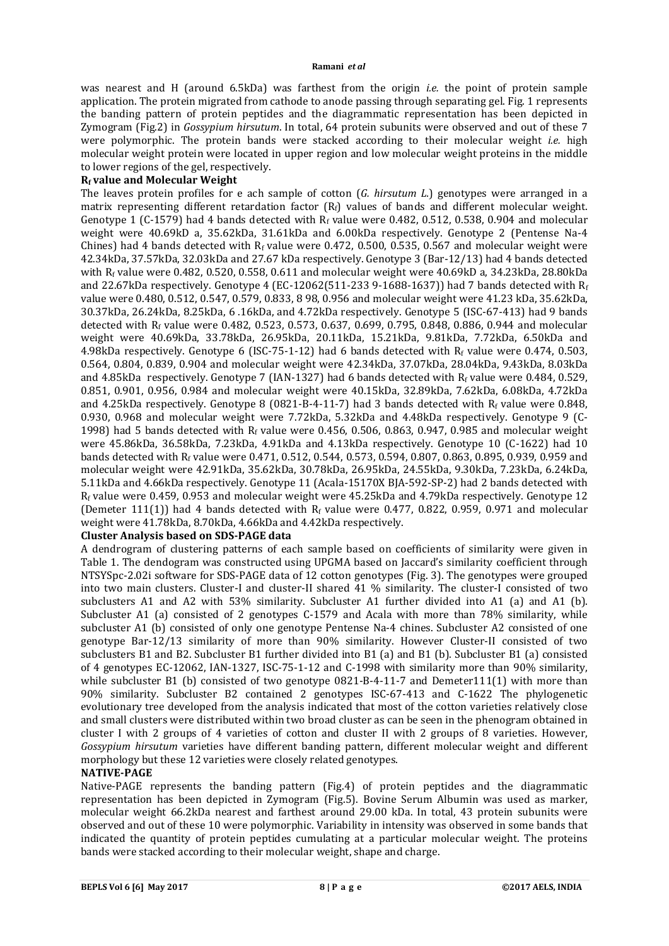was nearest and H (around 6.5kDa) was farthest from the origin *i.e.* the point of protein sample application. The protein migrated from cathode to anode passing through separating gel. Fig. 1 represents the banding pattern of protein peptides and the diagrammatic representation has been depicted in Zymogram (Fig.2) in *Gossypium hirsutum*. In total, 64 protein subunits were observed and out of these 7 were polymorphic. The protein bands were stacked according to their molecular weight *i.e.* high molecular weight protein were located in upper region and low molecular weight proteins in the middle to lower regions of the gel, respectively.

## **Rf value and Molecular Weight**

The leaves protein profiles for e ach sample of cotton (*G. hirsutum L.*) genotypes were arranged in a matrix representing different retardation factor  $(R_f)$  values of bands and different molecular weight. Genotype 1 (C-1579) had 4 bands detected with  $R_f$  value were 0.482, 0.512, 0.538, 0.904 and molecular weight were 40.69kD a, 35.62kDa, 31.61kDa and 6.00kDa respectively. Genotype 2 (Pentense Na-4 Chines) had 4 bands detected with  $R_f$  value were 0.472, 0.500, 0.535, 0.567 and molecular weight were 42.34kDa, 37.57kDa, 32.03kDa and 27.67 kDa respectively. Genotype 3 (Bar-12/13) had 4 bands detected with Rf value were 0.482, 0.520, 0.558, 0.611 and molecular weight were 40.69kD a, 34.23kDa, 28.80kDa and 22.67kDa respectively. Genotype 4 (EC-12062(511-233 9-1688-1637)) had 7 bands detected with  $R_f$ value were 0.480, 0.512, 0.547, 0.579, 0.833, 8 98, 0.956 and molecular weight were 41.23 kDa, 35.62kDa, 30.37kDa, 26.24kDa, 8.25kDa, 6 .16kDa, and 4.72kDa respectively. Genotype 5 (ISC-67-413) had 9 bands detected with Rf value were 0.482, 0.523, 0.573, 0.637, 0.699, 0.795, 0.848, 0.886, 0.944 and molecular weight were 40.69kDa, 33.78kDa, 26.95kDa, 20.11kDa, 15.21kDa, 9.81kDa, 7.72kDa, 6.50kDa and 4.98kDa respectively. Genotype 6 (ISC-75-1-12) had 6 bands detected with R<sub>f</sub> value were 0.474, 0.503, 0.564, 0.804, 0.839, 0.904 and molecular weight were 42.34kDa, 37.07kDa, 28.04kDa, 9.43kDa, 8.03kDa and 4.85kDa respectively. Genotype 7 (IAN-1327) had 6 bands detected with  $R_f$  value were 0.484, 0.529, 0.851, 0.901, 0.956, 0.984 and molecular weight were 40.15kDa, 32.89kDa, 7.62kDa, 6.08kDa, 4.72kDa and 4.25kDa respectively. Genotype 8 (0821-B-4-11-7) had 3 bands detected with  $R_f$  value were 0.848, 0.930, 0.968 and molecular weight were 7.72kDa, 5.32kDa and 4.48kDa respectively. Genotype 9 (C-1998) had 5 bands detected with  $R_f$  value were 0.456, 0.506, 0.863, 0.947, 0.985 and molecular weight were 45.86kDa, 36.58kDa, 7.23kDa, 4.91kDa and 4.13kDa respectively. Genotype 10 (C-1622) had 10 bands detected with R<sub>f</sub> value were 0.471, 0.512, 0.544, 0.573, 0.594, 0.807, 0.863, 0.895, 0.939, 0.959 and molecular weight were 42.91kDa, 35.62kDa, 30.78kDa, 26.95kDa, 24.55kDa, 9.30kDa, 7.23kDa, 6.24kDa, 5.11kDa and 4.66kDa respectively. Genotype 11 (Acala-15170X BJA-592-SP-2) had 2 bands detected with Rf value were 0.459, 0.953 and molecular weight were 45.25kDa and 4.79kDa respectively. Genotype 12 (Demeter 111(1)) had 4 bands detected with  $R_f$  value were 0.477, 0.822, 0.959, 0.971 and molecular weight were 41.78kDa, 8.70kDa, 4.66kDa and 4.42kDa respectively.

## **Cluster Analysis based on SDS-PAGE data**

A dendrogram of clustering patterns of each sample based on coefficients of similarity were given in Table 1. The dendogram was constructed using UPGMA based on Jaccard's similarity coefficient through NTSYSpc-2.02i software for SDS-PAGE data of 12 cotton genotypes (Fig. 3). The genotypes were grouped into two main clusters. Cluster-I and cluster-II shared 41 % similarity. The cluster-I consisted of two subclusters A1 and A2 with 53% similarity. Subcluster A1 further divided into A1 (a) and A1 (b). Subcluster A1 (a) consisted of 2 genotypes C-1579 and Acala with more than 78% similarity, while subcluster A1 (b) consisted of only one genotype Pentense Na-4 chines. Subcluster A2 consisted of one genotype Bar-12/13 similarity of more than 90% similarity. However Cluster-II consisted of two subclusters B1 and B2. Subcluster B1 further divided into B1 (a) and B1 (b). Subcluster B1 (a) consisted of 4 genotypes EC-12062, IAN-1327, ISC-75-1-12 and C-1998 with similarity more than 90% similarity, while subcluster B1 (b) consisted of two genotype 0821-B-4-11-7 and Demeter111(1) with more than 90% similarity. Subcluster B2 contained 2 genotypes ISC-67-413 and C-1622 The phylogenetic evolutionary tree developed from the analysis indicated that most of the cotton varieties relatively close and small clusters were distributed within two broad cluster as can be seen in the phenogram obtained in cluster I with 2 groups of 4 varieties of cotton and cluster II with 2 groups of 8 varieties. However, *Gossypium hirsutum* varieties have different banding pattern, different molecular weight and different morphology but these 12 varieties were closely related genotypes.

# **NATIVE-PAGE**

Native-PAGE represents the banding pattern (Fig.4) of protein peptides and the diagrammatic representation has been depicted in Zymogram (Fig.5). Bovine Serum Albumin was used as marker, molecular weight 66.2kDa nearest and farthest around 29.00 kDa. In total, 43 protein subunits were observed and out of these 10 were polymorphic. Variability in intensity was observed in some bands that indicated the quantity of protein peptides cumulating at a particular molecular weight. The proteins bands were stacked according to their molecular weight, shape and charge.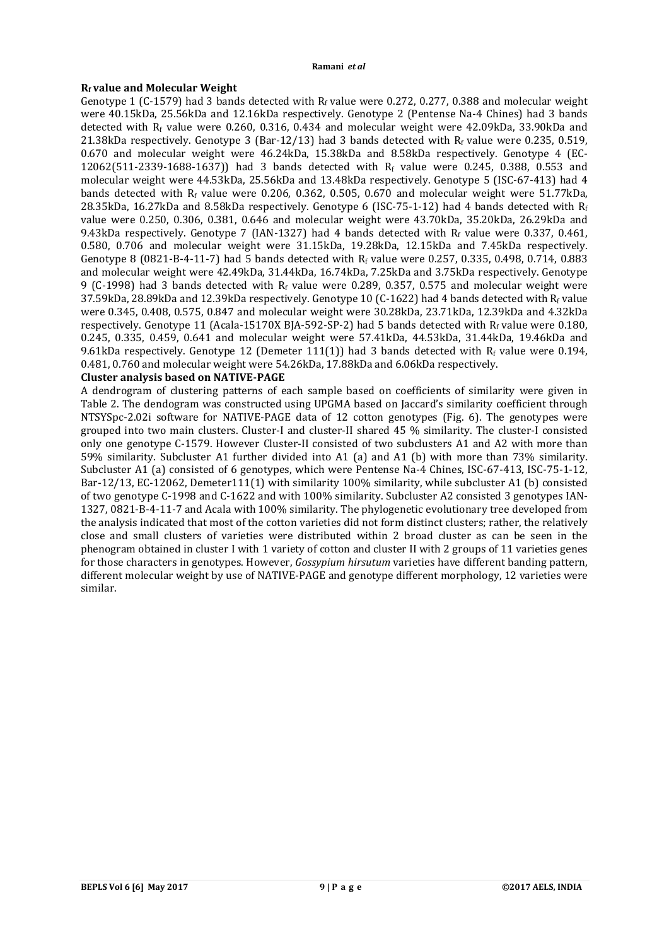# **Rf value and Molecular Weight**

Genotype 1 (C-1579) had 3 bands detected with  $R_f$  value were 0.272, 0.277, 0.388 and molecular weight were 40.15kDa, 25.56kDa and 12.16kDa respectively. Genotype 2 (Pentense Na-4 Chines) had 3 bands detected with  $R_f$  value were 0.260, 0.316, 0.434 and molecular weight were 42.09kDa, 33.90kDa and 21.38kDa respectively. Genotype 3 (Bar-12/13) had 3 bands detected with  $R_f$  value were 0.235, 0.519, 0.670 and molecular weight were 46.24kDa, 15.38kDa and 8.58kDa respectively. Genotype 4 (EC-12062(511-2339-1688-1637)) had 3 bands detected with Rf value were 0.245, 0.388, 0.553 and molecular weight were 44.53kDa, 25.56kDa and 13.48kDa respectively. Genotype 5 (ISC-67-413) had 4 bands detected with R<sub>f</sub> value were 0.206, 0.362, 0.505, 0.670 and molecular weight were 51.77kDa. 28.35kDa, 16.27kDa and 8.58kDa respectively. Genotype 6 (ISC-75-1-12) had 4 bands detected with Rf value were 0.250, 0.306, 0.381, 0.646 and molecular weight were 43.70kDa, 35.20kDa, 26.29kDa and 9.43kDa respectively. Genotype 7 (IAN-1327) had 4 bands detected with  $R_f$  value were 0.337, 0.461, 0.580, 0.706 and molecular weight were 31.15kDa, 19.28kDa, 12.15kDa and 7.45kDa respectively. Genotype 8 (0821-B-4-11-7) had 5 bands detected with  $R_f$  value were 0.257, 0.335, 0.498, 0.714, 0.883 and molecular weight were 42.49kDa, 31.44kDa, 16.74kDa, 7.25kDa and 3.75kDa respectively. Genotype 9 (C-1998) had 3 bands detected with  $R_f$  value were 0.289, 0.357, 0.575 and molecular weight were 37.59kDa, 28.89kDa and 12.39kDa respectively. Genotype 10 (C-1622) had 4 bands detected with  $R_f$  value were 0.345, 0.408, 0.575, 0.847 and molecular weight were 30.28kDa, 23.71kDa, 12.39kDa and 4.32kDa respectively. Genotype 11 (Acala-15170X BJA-592-SP-2) had 5 bands detected with  $R_f$  value were 0.180, 0.245, 0.335, 0.459, 0.641 and molecular weight were 57.41kDa, 44.53kDa, 31.44kDa, 19.46kDa and 9.61kDa respectively. Genotype 12 (Demeter 111(1)) had 3 bands detected with  $R_f$  value were 0.194, 0.481, 0.760 and molecular weight were 54.26kDa, 17.88kDa and 6.06kDa respectively.

# **Cluster analysis based on NATIVE-PAGE**

A dendrogram of clustering patterns of each sample based on coefficients of similarity were given in Table 2. The dendogram was constructed using UPGMA based on Jaccard's similarity coefficient through NTSYSpc-2.02i software for NATIVE-PAGE data of 12 cotton genotypes (Fig. 6). The genotypes were grouped into two main clusters. Cluster-I and cluster-II shared 45 % similarity. The cluster-I consisted only one genotype C-1579. However Cluster-II consisted of two subclusters A1 and A2 with more than 59% similarity. Subcluster A1 further divided into A1 (a) and A1 (b) with more than 73% similarity. Subcluster A1 (a) consisted of 6 genotypes, which were Pentense Na-4 Chines, ISC-67-413, ISC-75-1-12, Bar-12/13, EC-12062, Demeter111(1) with similarity 100% similarity, while subcluster A1 (b) consisted of two genotype C-1998 and C-1622 and with 100% similarity. Subcluster A2 consisted 3 genotypes IAN-1327, 0821-B-4-11-7 and Acala with 100% similarity. The phylogenetic evolutionary tree developed from the analysis indicated that most of the cotton varieties did not form distinct clusters; rather, the relatively close and small clusters of varieties were distributed within 2 broad cluster as can be seen in the phenogram obtained in cluster I with 1 variety of cotton and cluster II with 2 groups of 11 varieties genes for those characters in genotypes. However, *Gossypium hirsutum* varieties have different banding pattern, different molecular weight by use of NATIVE-PAGE and genotype different morphology, 12 varieties were similar.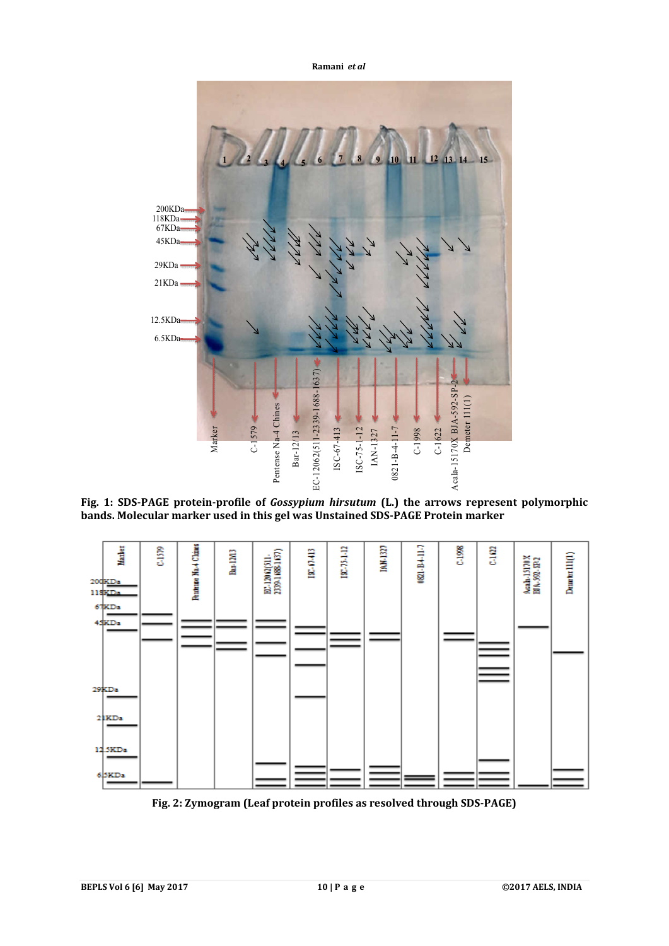

**Fig. 1: SDS-PAGE protein-profile of** *Gossypium hirsutum* **(L.) the arrows represent polymorphic bands. Molecular marker used in this gel was Unstained SDS-PAGE Protein marker**



**Fig. 2: Zymogram (Leaf protein profiles as resolved through SDS-PAGE)**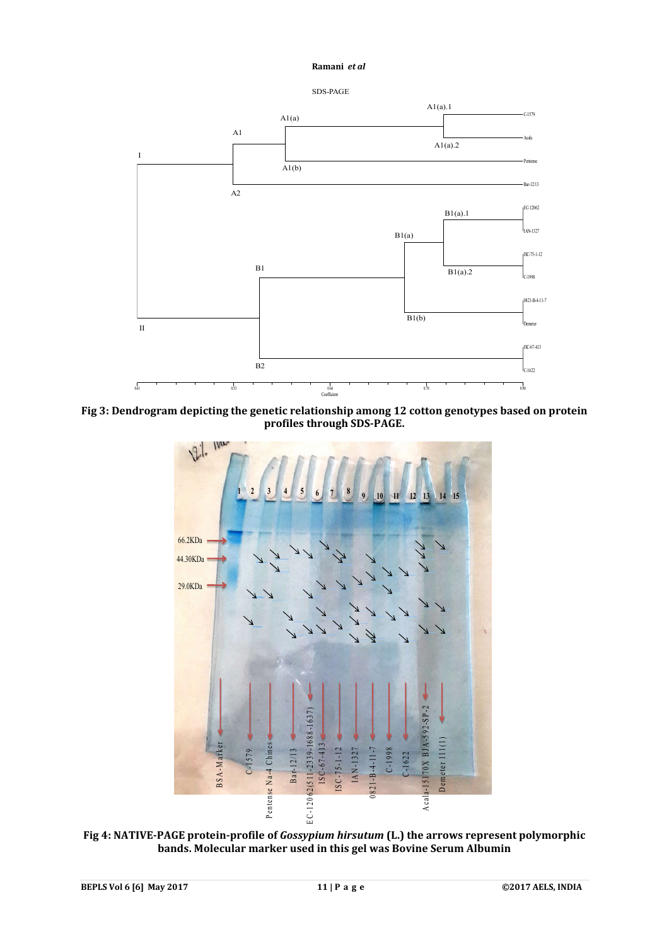



**Fig 3: Dendrogram depicting the genetic relationship among 12 cotton genotypes based on protein profiles through SDS-PAGE.**



**Fig 4: NATIVE-PAGE protein-profile of** *Gossypium hirsutum* **(L.) the arrows represent polymorphic bands. Molecular marker used in this gel was Bovine Serum Albumin**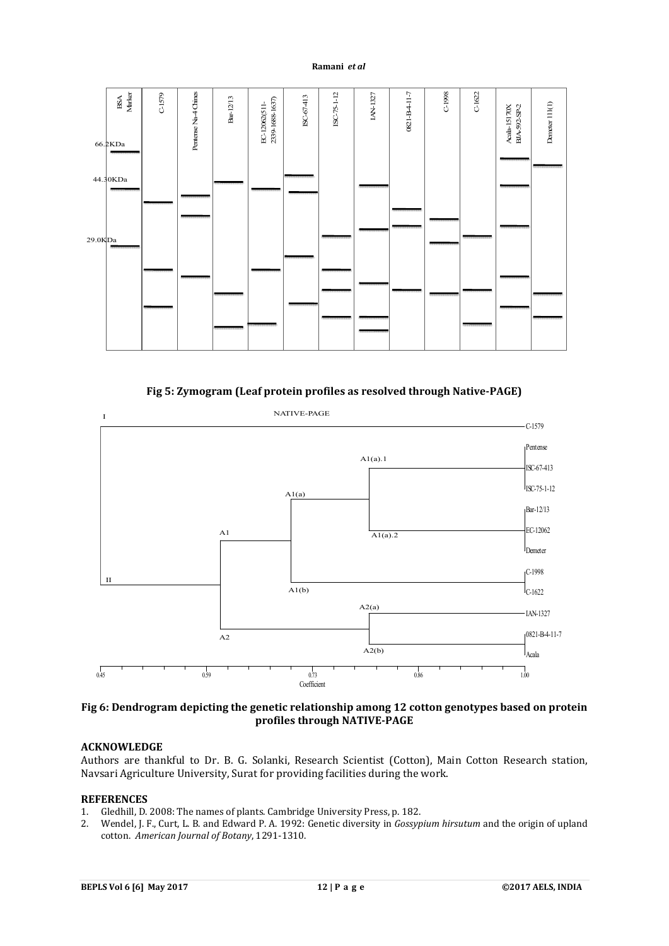

**Fig 5: Zymogram (Leaf protein profiles as resolved through Native-PAGE)**



**Fig 6: Dendrogram depicting the genetic relationship among 12 cotton genotypes based on protein profiles through NATIVE-PAGE**

## **ACKNOWLEDGE**

Authors are thankful to Dr. B. G. Solanki, Research Scientist (Cotton), Main Cotton Research station, Navsari Agriculture University, Surat for providing facilities during the work.

## **REFERENCES**

- 1. Gledhill, D. 2008: The names of plants. Cambridge University Press, p. 182.
- 2. Wendel, J. F., Curt, L. B. and Edward P. A. 1992: Genetic diversity in *Gossypium hirsutum* and the origin of upland cotton. *American Journal of Botany*, 1291-1310.